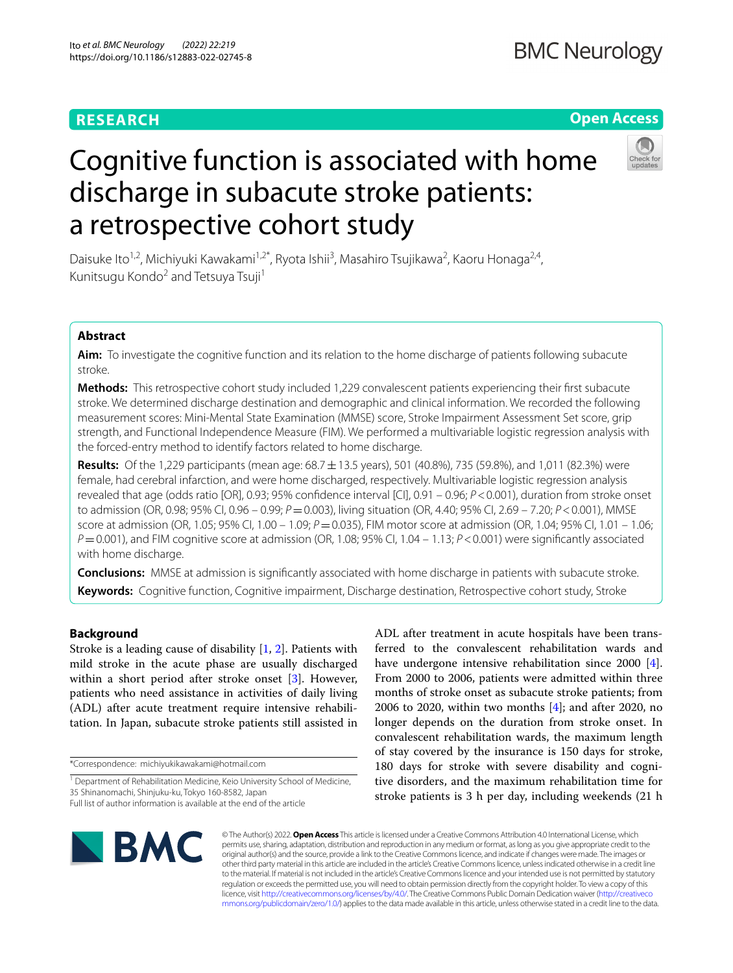# **RESEARCH**

# **Open Access**



# Cognitive function is associated with home discharge in subacute stroke patients: a retrospective cohort study

Daisuke Ito<sup>1,2</sup>, Michiyuki Kawakami<sup>1,2\*</sup>, Ryota Ishii<sup>3</sup>, Masahiro Tsujikawa<sup>2</sup>, Kaoru Honaga<sup>2,4</sup>, Kunitsugu Kondo<sup>2</sup> and Tetsuya Tsuji<sup>1</sup>

# **Abstract**

**Aim:** To investigate the cognitive function and its relation to the home discharge of patients following subacute stroke.

**Methods:** This retrospective cohort study included 1,229 convalescent patients experiencing their frst subacute stroke. We determined discharge destination and demographic and clinical information. We recorded the following measurement scores: Mini-Mental State Examination (MMSE) score, Stroke Impairment Assessment Set score, grip strength, and Functional Independence Measure (FIM). We performed a multivariable logistic regression analysis with the forced-entry method to identify factors related to home discharge.

**Results:** Of the 1,229 participants (mean age: 68.7±13.5 years), 501 (40.8%), 735 (59.8%), and 1,011 (82.3%) were female, had cerebral infarction, and were home discharged, respectively. Multivariable logistic regression analysis revealed that age (odds ratio [OR], 0.93; 95% confdence interval [CI], 0.91 – 0.96; *P*<0.001), duration from stroke onset to admission (OR, 0.98; 95% CI, 0.96 – 0.99; *P* = 0.003), living situation (OR, 4.40; 95% CI, 2.69 – 7.20; *P* < 0.001), MMSE score at admission (OR, 1.05; 95% CI, 1.00 – 1.09; *P* = 0.035), FIM motor score at admission (OR, 1.04; 95% CI, 1.01 – 1.06; *P*=0.001), and FIM cognitive score at admission (OR, 1.08; 95% CI, 1.04 – 1.13; *P*<0.001) were signifcantly associated with home discharge.

**Conclusions:** MMSE at admission is signifcantly associated with home discharge in patients with subacute stroke. **Keywords:** Cognitive function, Cognitive impairment, Discharge destination, Retrospective cohort study, Stroke

# **Background**

Stroke is a leading cause of disability [[1,](#page-5-0) [2\]](#page-5-1). Patients with mild stroke in the acute phase are usually discharged within a short period after stroke onset [\[3](#page-5-2)]. However, patients who need assistance in activities of daily living (ADL) after acute treatment require intensive rehabilitation. In Japan, subacute stroke patients still assisted in

\*Correspondence: michiyukikawakami@hotmail.com

ADL after treatment in acute hospitals have been transferred to the convalescent rehabilitation wards and have undergone intensive rehabilitation since 2000 [\[4](#page-5-3)]. From 2000 to 2006, patients were admitted within three months of stroke onset as subacute stroke patients; from 2006 to 2020, within two months [\[4](#page-5-3)]; and after 2020, no longer depends on the duration from stroke onset. In convalescent rehabilitation wards, the maximum length of stay covered by the insurance is 150 days for stroke, 180 days for stroke with severe disability and cognitive disorders, and the maximum rehabilitation time for stroke patients is 3 h per day, including weekends (21 h



© The Author(s) 2022. **Open Access** This article is licensed under a Creative Commons Attribution 4.0 International License, which permits use, sharing, adaptation, distribution and reproduction in any medium or format, as long as you give appropriate credit to the original author(s) and the source, provide a link to the Creative Commons licence, and indicate if changes were made. The images or other third party material in this article are included in the article's Creative Commons licence, unless indicated otherwise in a credit line to the material. If material is not included in the article's Creative Commons licence and your intended use is not permitted by statutory regulation or exceeds the permitted use, you will need to obtain permission directly from the copyright holder. To view a copy of this licence, visit [http://creativecommons.org/licenses/by/4.0/.](http://creativecommons.org/licenses/by/4.0/) The Creative Commons Public Domain Dedication waiver ([http://creativeco](http://creativecommons.org/publicdomain/zero/1.0/) [mmons.org/publicdomain/zero/1.0/](http://creativecommons.org/publicdomain/zero/1.0/)) applies to the data made available in this article, unless otherwise stated in a credit line to the data.

<sup>&</sup>lt;sup>1</sup> Department of Rehabilitation Medicine, Keio University School of Medicine, 35 Shinanomachi, Shinjuku-ku, Tokyo 160-8582, Japan Full list of author information is available at the end of the article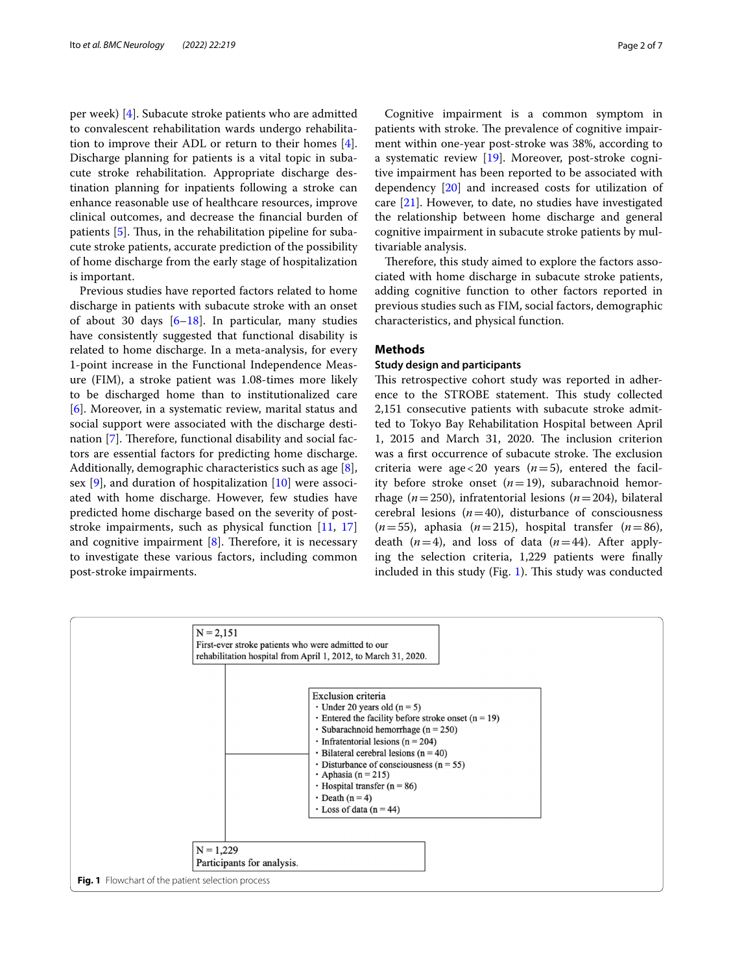per week) [[4\]](#page-5-3). Subacute stroke patients who are admitted to convalescent rehabilitation wards undergo rehabilitation to improve their ADL or return to their homes [\[4](#page-5-3)]. Discharge planning for patients is a vital topic in subacute stroke rehabilitation. Appropriate discharge destination planning for inpatients following a stroke can enhance reasonable use of healthcare resources, improve clinical outcomes, and decrease the fnancial burden of patients  $[5]$  $[5]$ . Thus, in the rehabilitation pipeline for subacute stroke patients, accurate prediction of the possibility of home discharge from the early stage of hospitalization is important.

Previous studies have reported factors related to home discharge in patients with subacute stroke with an onset of about 30 days  $[6-18]$  $[6-18]$ . In particular, many studies have consistently suggested that functional disability is related to home discharge. In a meta-analysis, for every 1-point increase in the Functional Independence Measure (FIM), a stroke patient was 1.08-times more likely to be discharged home than to institutionalized care [[6\]](#page-6-1). Moreover, in a systematic review, marital status and social support were associated with the discharge desti-nation [[7\]](#page-6-3). Therefore, functional disability and social factors are essential factors for predicting home discharge. Additionally, demographic characteristics such as age [\[8](#page-6-4)], sex [[9\]](#page-6-5), and duration of hospitalization [[10\]](#page-6-6) were associated with home discharge. However, few studies have predicted home discharge based on the severity of poststroke impairments, such as physical function [\[11,](#page-6-7) [17](#page-6-8)] and cognitive impairment  $[8]$  $[8]$ . Therefore, it is necessary to investigate these various factors, including common post-stroke impairments.

Cognitive impairment is a common symptom in patients with stroke. The prevalence of cognitive impairment within one-year post-stroke was 38%, according to a systematic review [[19\]](#page-6-9). Moreover, post-stroke cognitive impairment has been reported to be associated with dependency [[20\]](#page-6-10) and increased costs for utilization of care [\[21](#page-6-11)]. However, to date, no studies have investigated the relationship between home discharge and general cognitive impairment in subacute stroke patients by multivariable analysis.

Therefore, this study aimed to explore the factors associated with home discharge in subacute stroke patients, adding cognitive function to other factors reported in previous studies such as FIM, social factors, demographic characteristics, and physical function.

# **Methods**

# **Study design and participants**

This retrospective cohort study was reported in adherence to the STROBE statement. This study collected 2,151 consecutive patients with subacute stroke admitted to Tokyo Bay Rehabilitation Hospital between April 1, 2015 and March 31, 2020. The inclusion criterion was a first occurrence of subacute stroke. The exclusion criteria were age < 20 years  $(n=5)$ , entered the facility before stroke onset (*n*=19), subarachnoid hemorrhage (*n*=250), infratentorial lesions (*n*=204), bilateral cerebral lesions  $(n=40)$ , disturbance of consciousness  $(n=55)$ , aphasia  $(n=215)$ , hospital transfer  $(n=86)$ , death  $(n=4)$ , and loss of data  $(n=44)$ . After applying the selection criteria, 1,229 patients were fnally included in this study (Fig. [1](#page-1-0)). This study was conducted

<span id="page-1-0"></span>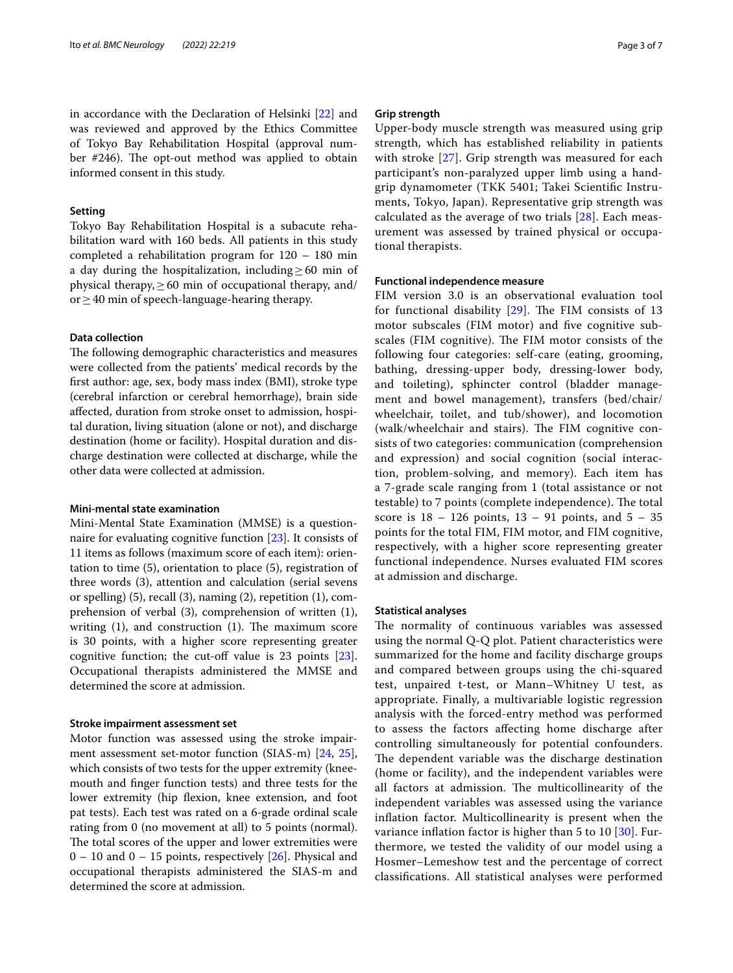in accordance with the Declaration of Helsinki [[22\]](#page-6-12) and was reviewed and approved by the Ethics Committee of Tokyo Bay Rehabilitation Hospital (approval number  $#246$ ). The opt-out method was applied to obtain informed consent in this study.

### **Setting**

Tokyo Bay Rehabilitation Hospital is a subacute rehabilitation ward with 160 beds. All patients in this study completed a rehabilitation program for 120 – 180 min a day during the hospitalization, including  $\geq 60$  min of physical therapy,  $\geq 60$  min of occupational therapy, and/ or  $\geq$  40 min of speech-language-hearing therapy.

#### **Data collection**

The following demographic characteristics and measures were collected from the patients' medical records by the frst author: age, sex, body mass index (BMI), stroke type (cerebral infarction or cerebral hemorrhage), brain side afected, duration from stroke onset to admission, hospital duration, living situation (alone or not), and discharge destination (home or facility). Hospital duration and discharge destination were collected at discharge, while the other data were collected at admission.

# **Mini‑mental state examination**

Mini-Mental State Examination (MMSE) is a questionnaire for evaluating cognitive function [\[23](#page-6-13)]. It consists of 11 items as follows (maximum score of each item): orientation to time (5), orientation to place (5), registration of three words (3), attention and calculation (serial sevens or spelling) (5), recall (3), naming (2), repetition (1), comprehension of verbal (3), comprehension of written (1), writing  $(1)$ , and construction  $(1)$ . The maximum score is 30 points, with a higher score representing greater cognitive function; the cut-off value is  $23$  points  $[23]$  $[23]$ . Occupational therapists administered the MMSE and determined the score at admission.

## **Stroke impairment assessment set**

Motor function was assessed using the stroke impairment assessment set-motor function (SIAS-m) [[24](#page-6-14), [25](#page-6-15)], which consists of two tests for the upper extremity (kneemouth and fnger function tests) and three tests for the lower extremity (hip flexion, knee extension, and foot pat tests). Each test was rated on a 6-grade ordinal scale rating from 0 (no movement at all) to 5 points (normal). The total scores of the upper and lower extremities were  $0 - 10$  and  $0 - 15$  points, respectively [[26\]](#page-6-16). Physical and occupational therapists administered the SIAS-m and determined the score at admission.

#### **Grip strength**

Upper-body muscle strength was measured using grip strength, which has established reliability in patients with stroke [[27\]](#page-6-17). Grip strength was measured for each participant's non-paralyzed upper limb using a handgrip dynamometer (TKK 5401; Takei Scientifc Instruments, Tokyo, Japan). Representative grip strength was calculated as the average of two trials [[28](#page-6-18)]. Each measurement was assessed by trained physical or occupational therapists.

#### **Functional independence measure**

FIM version 3.0 is an observational evaluation tool for functional disability  $[29]$  $[29]$  $[29]$ . The FIM consists of 13 motor subscales (FIM motor) and fve cognitive subscales (FIM cognitive). The FIM motor consists of the following four categories: self-care (eating, grooming, bathing, dressing-upper body, dressing-lower body, and toileting), sphincter control (bladder management and bowel management), transfers (bed/chair/ wheelchair, toilet, and tub/shower), and locomotion (walk/wheelchair and stairs). The FIM cognitive consists of two categories: communication (comprehension and expression) and social cognition (social interaction, problem-solving, and memory). Each item has a 7-grade scale ranging from 1 (total assistance or not testable) to 7 points (complete independence). The total score is  $18 - 126$  points,  $13 - 91$  points, and  $5 - 35$ points for the total FIM, FIM motor, and FIM cognitive, respectively, with a higher score representing greater functional independence. Nurses evaluated FIM scores at admission and discharge.

#### **Statistical analyses**

The normality of continuous variables was assessed using the normal Q-Q plot. Patient characteristics were summarized for the home and facility discharge groups and compared between groups using the chi-squared test, unpaired t-test, or Mann–Whitney U test, as appropriate. Finally, a multivariable logistic regression analysis with the forced-entry method was performed to assess the factors afecting home discharge after controlling simultaneously for potential confounders. The dependent variable was the discharge destination (home or facility), and the independent variables were all factors at admission. The multicollinearity of the independent variables was assessed using the variance infation factor. Multicollinearity is present when the variance inflation factor is higher than 5 to 10 [[30\]](#page-6-20). Furthermore, we tested the validity of our model using a Hosmer–Lemeshow test and the percentage of correct classifcations. All statistical analyses were performed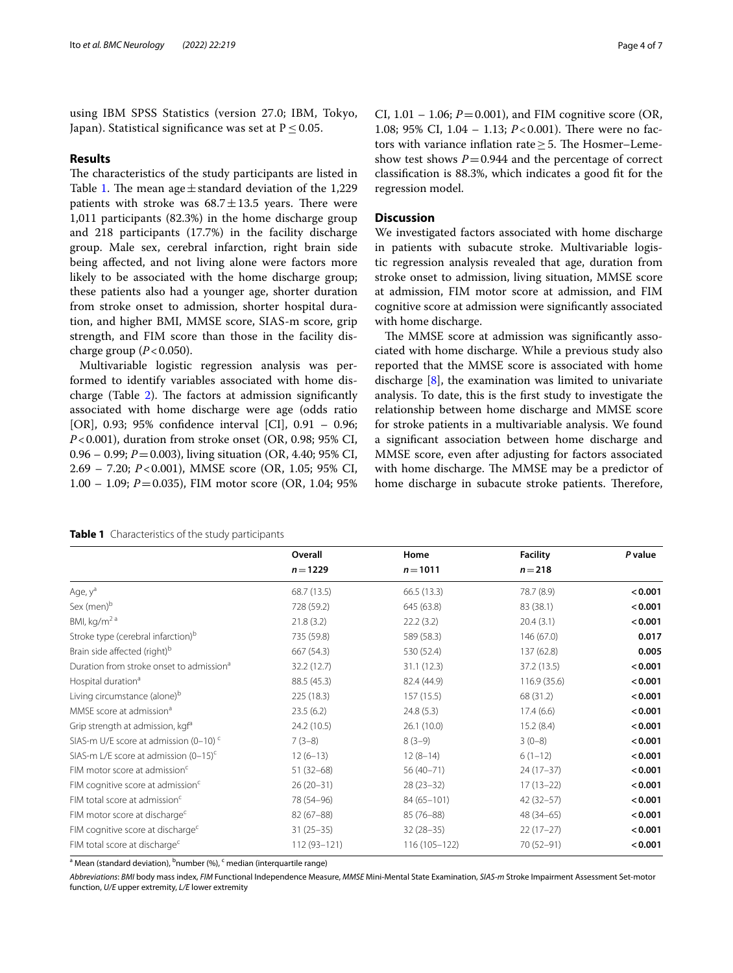using IBM SPSS Statistics (version 27.0; IBM, Tokyo, Japan). Statistical significance was set at  $P \le 0.05$ .

# **Results**

The characteristics of the study participants are listed in Table [1](#page-3-0). The mean age  $\pm$  standard deviation of the 1,229 patients with stroke was  $68.7 \pm 13.5$  years. There were 1,011 participants (82.3%) in the home discharge group and 218 participants (17.7%) in the facility discharge group. Male sex, cerebral infarction, right brain side being afected, and not living alone were factors more likely to be associated with the home discharge group; these patients also had a younger age, shorter duration from stroke onset to admission, shorter hospital duration, and higher BMI, MMSE score, SIAS-m score, grip strength, and FIM score than those in the facility discharge group  $(P<0.050)$ .

Multivariable logistic regression analysis was performed to identify variables associated with home discharge (Table  $2$ ). The factors at admission significantly associated with home discharge were age (odds ratio [OR], 0.93; 95% confdence interval [CI], 0.91 – 0.96; *P*<0.001), duration from stroke onset (OR, 0.98; 95% CI, 0.96 – 0.99; *P*=0.003), living situation (OR, 4.40; 95% CI, 2.69 – 7.20; *P*<0.001), MMSE score (OR, 1.05; 95% CI, 1.00 – 1.09; *P*=0.035), FIM motor score (OR, 1.04; 95% CI,  $1.01 - 1.06$ ;  $P = 0.001$ ), and FIM cognitive score (OR, 1.08; 95% CI, 1.04 – 1.13; *P*<0.001). There were no factors with variance inflation rate  $\geq$  5. The Hosmer–Lemeshow test shows  $P = 0.944$  and the percentage of correct classifcation is 88.3%, which indicates a good ft for the regression model.

## **Discussion**

We investigated factors associated with home discharge in patients with subacute stroke. Multivariable logistic regression analysis revealed that age, duration from stroke onset to admission, living situation, MMSE score at admission, FIM motor score at admission, and FIM cognitive score at admission were signifcantly associated with home discharge.

The MMSE score at admission was significantly associated with home discharge. While a previous study also reported that the MMSE score is associated with home discharge [\[8](#page-6-4)], the examination was limited to univariate analysis. To date, this is the frst study to investigate the relationship between home discharge and MMSE score for stroke patients in a multivariable analysis. We found a signifcant association between home discharge and MMSE score, even after adjusting for factors associated with home discharge. The MMSE may be a predictor of home discharge in subacute stroke patients. Therefore,

<span id="page-3-0"></span>

**Overall Home Facility** *P* **value** *n*=**1229** *n*=**1011** *n*=**218** Age, y<sup>a</sup> **compared a contract of the set of the set of the set of the set of the set of the set of the set of the set of the set of the set of the set of the set of the set of the set of the set of the set of the set of t** Sex (men)<sup>b</sup> **contracts to the contract of the contracts of the contracts of the contracts of the contracts of the contracts of the contracts of the contracts of the contracts of the contracts of the contracts of the contr** BMI, kg/m<sup>2 a</sup> **20.4** (3.2) 22.2 (3.2) 20.4 (3.1) 20.4 (3.1) 20.4 (3.1) Stroke type (cerebral infarction)<sup>b</sup> 735 (59.8) 589 (58.3) 146 (67.0) **0.017** Brain side affected (right)<sup>b</sup> 667 (54.3) 530 (52.4) 530 (52.4) 137 (62.8) **0.005** Duration from stroke onset to admission<sup>a</sup> 32.2 (12.7) 31.1 (12.3) 37.2 (13.5) **<0.001** Hospital duration<sup>a</sup> 88.5 (45.3) 82.4 (44.9) 116.9 (35.6) **<0.001** Living circumstance (alone)<sup>b</sup> 225 (18.3) 157 (15.5) 68 (31.2) **<0.001** MMSE score at admission<sup>a</sup> **23.5 (6.2)** 24.8 (5.3) 24.8 (5.3) 17.4 (6.6) **<0.001** Grip strength at admission, kg<sup>a</sup> 24.2 (10.5) 26.1 (10.0) 26.1 (10.0) 15.2 (8.4) **<0.001** SIAS-m U/E score at admission (0–10)<sup>c</sup> 7 (3–8) 8 (3–9) 8 (3–9) 3 (0–8) **<0.001** SIAS-m L/E score at admission (0–15)<sup>c</sup> 12 (6–13) 12 (6–13) 12 (8–14) 6 (1–12) **<0.001** FIM motor score at admission<sup>c</sup> 51 (32–68) 56 (40–71) 24 (17–37) **<0.001** FIM cognitive score at admission<sup>c</sup>  $26 (20-31)$   $28 (23-32)$   $17 (13-22)$   $\leq 0.001$ FIM total score at admission<sup>c</sup> **and the CO.001 20001 84** (65–101) **12** (32–57) **42** (32–57) **42** (32–57) FIM motor score at discharge<sup>c</sup> 82 (67–88) 85 (76–88) 48 (34–65) **<0.001** FIM cognitive score at discharge<sup>c</sup> 31 (25–35) 32 (28–35) 22 (17–27) **<0.001** FIM total score at discharge<sup>c</sup> 112 (93–121) 116 (105–122) 70 (52–91) **<0.001**

<sup>a</sup> Mean (standard deviation), <sup>b</sup>number (%), <sup>c</sup> median (interquartile range)

*Abbreviations*: *BMI* body mass index, *FIM* Functional Independence Measure, *MMSE* Mini-Mental State Examination, *SIAS-m* Stroke Impairment Assessment Set-motor function, *U/E* upper extremity, *L/E* lower extremity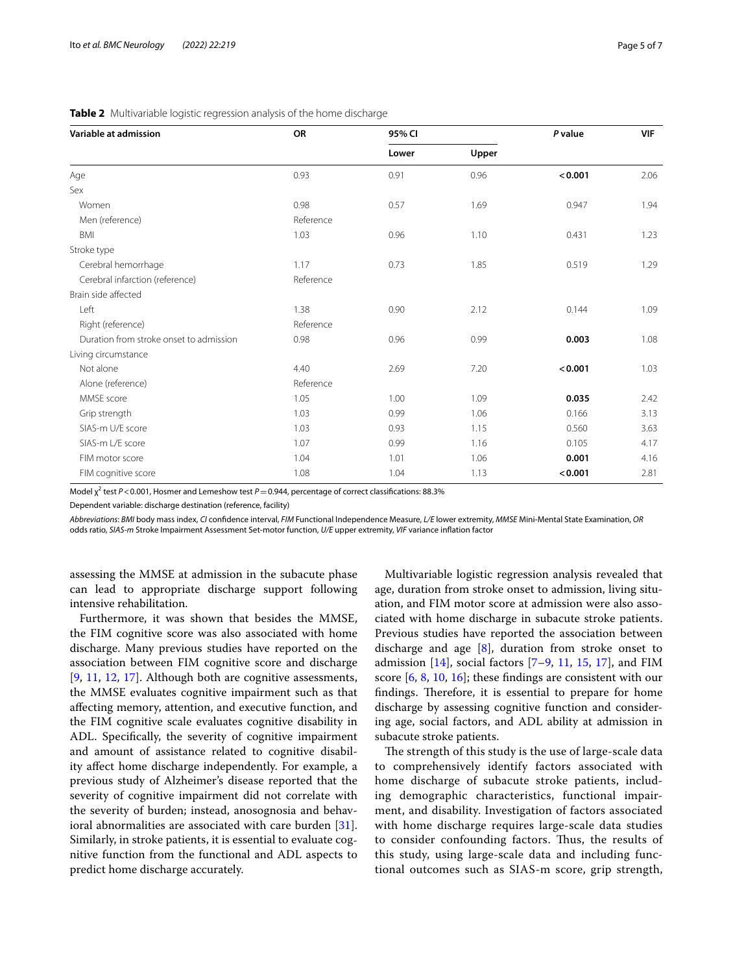| Variable at admission                   | OR        | 95% CI |       | P value | <b>VIF</b> |
|-----------------------------------------|-----------|--------|-------|---------|------------|
|                                         |           | Lower  | Upper |         |            |
| Age                                     | 0.93      | 0.91   | 0.96  | < 0.001 | 2.06       |
| Sex                                     |           |        |       |         |            |
| Women                                   | 0.98      | 0.57   | 1.69  | 0.947   | 1.94       |
| Men (reference)                         | Reference |        |       |         |            |
| BMI                                     | 1.03      | 0.96   | 1.10  | 0.431   | 1.23       |
| Stroke type                             |           |        |       |         |            |
| Cerebral hemorrhage                     | 1.17      | 0.73   | 1.85  | 0.519   | 1.29       |
| Cerebral infarction (reference)         | Reference |        |       |         |            |
| Brain side affected                     |           |        |       |         |            |
| Left                                    | 1.38      | 0.90   | 2.12  | 0.144   | 1.09       |
| Right (reference)                       | Reference |        |       |         |            |
| Duration from stroke onset to admission | 0.98      | 0.96   | 0.99  | 0.003   | 1.08       |
| Living circumstance                     |           |        |       |         |            |
| Not alone                               | 4.40      | 2.69   | 7.20  | < 0.001 | 1.03       |
| Alone (reference)                       | Reference |        |       |         |            |
| MMSE score                              | 1.05      | 1.00   | 1.09  | 0.035   | 2.42       |
| Grip strength                           | 1.03      | 0.99   | 1.06  | 0.166   | 3.13       |
| SIAS-m U/E score                        | 1.03      | 0.93   | 1.15  | 0.560   | 3.63       |
| SIAS-m L/E score                        | 1.07      | 0.99   | 1.16  | 0.105   | 4.17       |
| FIM motor score                         | 1.04      | 1.01   | 1.06  | 0.001   | 4.16       |
| FIM cognitive score                     | 1.08      | 1.04   | 1.13  | < 0.001 | 2.81       |

#### <span id="page-4-0"></span>**Table 2** Multivariable logistic regression analysis of the home discharge

Model χ<sup>2</sup> test *P* < 0.001, Hosmer and Lemeshow test *P* = 0.944, percentage of correct classifications: 88.3%

Dependent variable: discharge destination (reference, facility)

*Abbreviations*: *BMI* body mass index, *CI* confdence interval, *FIM* Functional Independence Measure, *L/E* lower extremity, *MMSE* Mini-Mental State Examination, *OR* odds ratio, *SIAS-m* Stroke Impairment Assessment Set-motor function, *U/E* upper extremity, *VIF* variance infation factor

assessing the MMSE at admission in the subacute phase can lead to appropriate discharge support following intensive rehabilitation.

Furthermore, it was shown that besides the MMSE, the FIM cognitive score was also associated with home discharge. Many previous studies have reported on the association between FIM cognitive score and discharge [[9,](#page-6-5) [11,](#page-6-7) [12](#page-6-21), [17](#page-6-8)]. Although both are cognitive assessments, the MMSE evaluates cognitive impairment such as that afecting memory, attention, and executive function, and the FIM cognitive scale evaluates cognitive disability in ADL. Specifcally, the severity of cognitive impairment and amount of assistance related to cognitive disability afect home discharge independently. For example, a previous study of Alzheimer's disease reported that the severity of cognitive impairment did not correlate with the severity of burden; instead, anosognosia and behavioral abnormalities are associated with care burden [\[31](#page-6-22)]. Similarly, in stroke patients, it is essential to evaluate cognitive function from the functional and ADL aspects to predict home discharge accurately.

Multivariable logistic regression analysis revealed that age, duration from stroke onset to admission, living situation, and FIM motor score at admission were also associated with home discharge in subacute stroke patients. Previous studies have reported the association between discharge and age [\[8](#page-6-4)], duration from stroke onset to admission  $[14]$  $[14]$  $[14]$ , social factors  $[7-9, 11, 15, 17]$  $[7-9, 11, 15, 17]$  $[7-9, 11, 15, 17]$  $[7-9, 11, 15, 17]$  $[7-9, 11, 15, 17]$  $[7-9, 11, 15, 17]$  $[7-9, 11, 15, 17]$  $[7-9, 11, 15, 17]$ , and FIM score [\[6](#page-6-1), [8,](#page-6-4) [10,](#page-6-6) [16](#page-6-25)]; these fndings are consistent with our findings. Therefore, it is essential to prepare for home discharge by assessing cognitive function and considering age, social factors, and ADL ability at admission in subacute stroke patients.

The strength of this study is the use of large-scale data to comprehensively identify factors associated with home discharge of subacute stroke patients, including demographic characteristics, functional impairment, and disability. Investigation of factors associated with home discharge requires large-scale data studies to consider confounding factors. Thus, the results of this study, using large-scale data and including functional outcomes such as SIAS-m score, grip strength,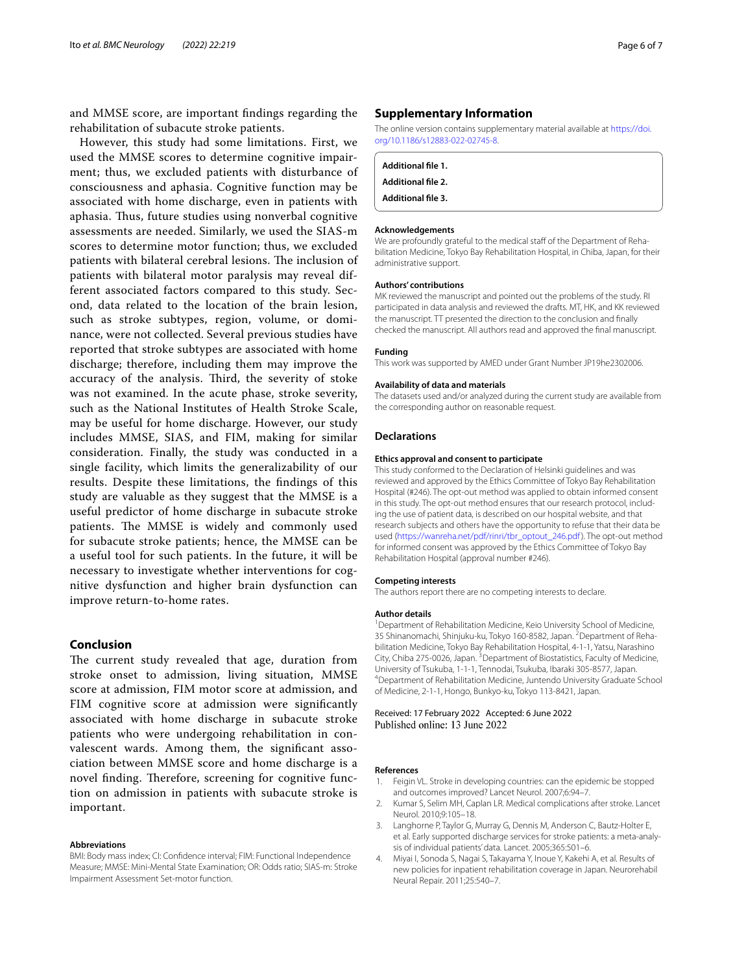and MMSE score, are important fndings regarding the rehabilitation of subacute stroke patients.

However, this study had some limitations. First, we used the MMSE scores to determine cognitive impairment; thus, we excluded patients with disturbance of consciousness and aphasia. Cognitive function may be associated with home discharge, even in patients with aphasia. Thus, future studies using nonverbal cognitive assessments are needed. Similarly, we used the SIAS-m scores to determine motor function; thus, we excluded patients with bilateral cerebral lesions. The inclusion of patients with bilateral motor paralysis may reveal different associated factors compared to this study. Second, data related to the location of the brain lesion, such as stroke subtypes, region, volume, or dominance, were not collected. Several previous studies have reported that stroke subtypes are associated with home discharge; therefore, including them may improve the accuracy of the analysis. Third, the severity of stoke was not examined. In the acute phase, stroke severity, such as the National Institutes of Health Stroke Scale, may be useful for home discharge. However, our study includes MMSE, SIAS, and FIM, making for similar consideration. Finally, the study was conducted in a single facility, which limits the generalizability of our results. Despite these limitations, the fndings of this study are valuable as they suggest that the MMSE is a useful predictor of home discharge in subacute stroke patients. The MMSE is widely and commonly used for subacute stroke patients; hence, the MMSE can be a useful tool for such patients. In the future, it will be necessary to investigate whether interventions for cognitive dysfunction and higher brain dysfunction can improve return-to-home rates.

#### **Conclusion**

The current study revealed that age, duration from stroke onset to admission, living situation, MMSE score at admission, FIM motor score at admission, and FIM cognitive score at admission were significantly associated with home discharge in subacute stroke patients who were undergoing rehabilitation in convalescent wards. Among them, the signifcant association between MMSE score and home discharge is a novel finding. Therefore, screening for cognitive function on admission in patients with subacute stroke is important.

#### **Abbreviations**

BMI: Body mass index; CI: Confdence interval; FIM: Functional Independence Measure; MMSE: Mini-Mental State Examination; OR: Odds ratio; SIAS-m: Stroke Impairment Assessment Set-motor function.

#### **Supplementary Information**

The online version contains supplementary material available at [https://doi.](https://doi.org/10.1186/s12883-022-02745-8) [org/10.1186/s12883-022-02745-8](https://doi.org/10.1186/s12883-022-02745-8).

| Additional file 1.        |  |  |
|---------------------------|--|--|
| Additional file 2.        |  |  |
| <b>Additional file 3.</b> |  |  |
|                           |  |  |

#### **Acknowledgements**

We are profoundly grateful to the medical staff of the Department of Rehabilitation Medicine, Tokyo Bay Rehabilitation Hospital, in Chiba, Japan, for their administrative support.

#### **Authors' contributions**

MK reviewed the manuscript and pointed out the problems of the study. RI participated in data analysis and reviewed the drafts. MT, HK, and KK reviewed the manuscript. TT presented the direction to the conclusion and fnally checked the manuscript. All authors read and approved the fnal manuscript.

#### **Funding**

This work was supported by AMED under Grant Number JP19he2302006.

#### **Availability of data and materials**

The datasets used and/or analyzed during the current study are available from the corresponding author on reasonable request.

#### **Declarations**

#### **Ethics approval and consent to participate**

This study conformed to the Declaration of Helsinki guidelines and was reviewed and approved by the Ethics Committee of Tokyo Bay Rehabilitation Hospital (#246). The opt-out method was applied to obtain informed consent in this study. The opt-out method ensures that our research protocol, including the use of patient data, is described on our hospital website, and that research subjects and others have the opportunity to refuse that their data be used ([https://wanreha.net/pdf/rinri/tbr\\_optout\\_246.pdf](https://wanreha.net/pdf/rinri/tbr_optout_246.pdf)). The opt-out method for informed consent was approved by the Ethics Committee of Tokyo Bay Rehabilitation Hospital (approval number #246).

#### **Competing interests**

The authors report there are no competing interests to declare.

#### **Author details**

<sup>1</sup> Department of Rehabilitation Medicine, Keio University School of Medicine, 35 Shinanomachi, Shinjuku-ku, Tokyo 160-8582, Japan. <sup>2</sup> Department of Rehabilitation Medicine, Tokyo Bay Rehabilitation Hospital, 4-1-1, Yatsu, Narashino City, Chiba 275-0026, Japan.<sup>3</sup> Department of Biostatistics, Faculty of Medicine, University of Tsukuba, 1-1-1, Tennodai, Tsukuba, Ibaraki 305-8577, Japan. 4 Department of Rehabilitation Medicine, Juntendo University Graduate School of Medicine, 2-1-1, Hongo, Bunkyo-ku, Tokyo 113-8421, Japan.

Received: 17 February 2022 Accepted: 6 June 2022 Published online: 13 June 2022

#### **References**

- <span id="page-5-0"></span>1. Feigin VL. Stroke in developing countries: can the epidemic be stopped and outcomes improved? Lancet Neurol. 2007;6:94–7.
- <span id="page-5-1"></span>2. Kumar S, Selim MH, Caplan LR. Medical complications after stroke. Lancet Neurol. 2010;9:105–18.
- <span id="page-5-2"></span>3. Langhorne P, Taylor G, Murray G, Dennis M, Anderson C, Bautz-Holter E, et al. Early supported discharge services for stroke patients: a meta-analysis of individual patients' data. Lancet. 2005;365:501–6.
- <span id="page-5-3"></span>4. Miyai I, Sonoda S, Nagai S, Takayama Y, Inoue Y, Kakehi A, et al. Results of new policies for inpatient rehabilitation coverage in Japan. Neurorehabil Neural Repair. 2011;25:540–7.